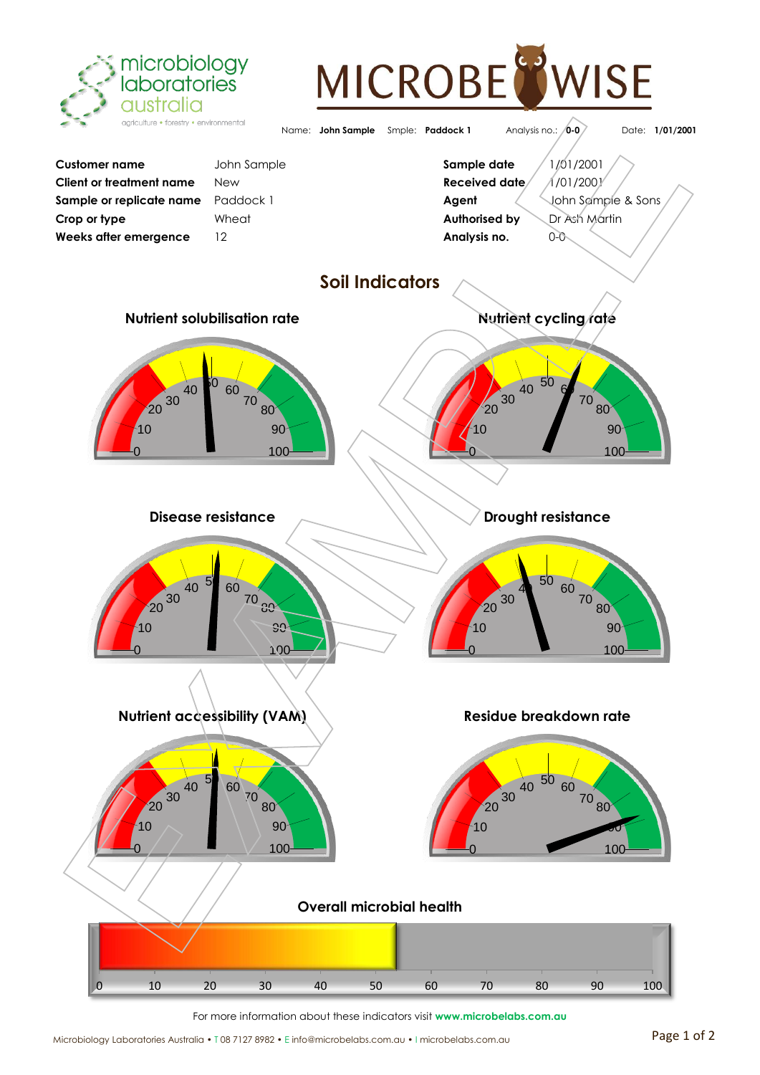

## MICROBE **WISE**



For more information about these indicators visit **www.microbelabs.com.au**